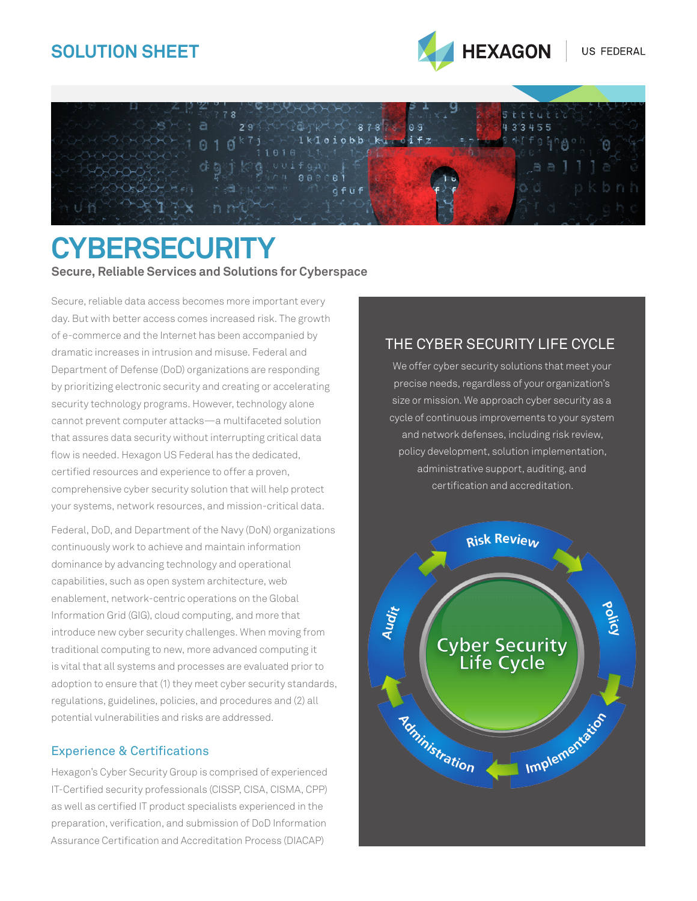## **SOLUTION SHEET**





# **CYBERSECURITY Secure, Reliable Services and Solutions for Cyberspace**

Secure, reliable data access becomes more important every day. But with better access comes increased risk. The growth of e-commerce and the Internet has been accompanied by dramatic increases in intrusion and misuse. Federal and Department of Defense (DoD) organizations are responding by prioritizing electronic security and creating or accelerating security technology programs. However, technology alone cannot prevent computer attacks—a multifaceted solution that assures data security without interrupting critical data flow is needed. Hexagon US Federal has the dedicated, certified resources and experience to offer a proven, comprehensive cyber security solution that will help protect your systems, network resources, and mission-critical data.

Federal, DoD, and Department of the Navy (DoN) organizations continuously work to achieve and maintain information dominance by advancing technology and operational capabilities, such as open system architecture, web enablement, network-centric operations on the Global Information Grid (GIG), cloud computing, and more that introduce new cyber security challenges. When moving from traditional computing to new, more advanced computing it is vital that all systems and processes are evaluated prior to adoption to ensure that (1) they meet cyber security standards, regulations, guidelines, policies, and procedures and (2) all potential vulnerabilities and risks are addressed.

#### Experience & Certifications

Hexagon's Cyber Security Group is comprised of experienced IT-Certified security professionals (CISSP, CISA, CISMA, CPP) as well as certified IT product specialists experienced in the preparation, verification, and submission of DoD Information Assurance Certification and Accreditation Process (DIACAP)

### The Cyber Security Life Cycle

We offer cyber security solutions that meet your precise needs, regardless of your organization's size or mission. We approach cyber security as a cycle of continuous improvements to your system and network defenses, including risk review, policy development, solution implementation, administrative support, auditing, and certification and accreditation.